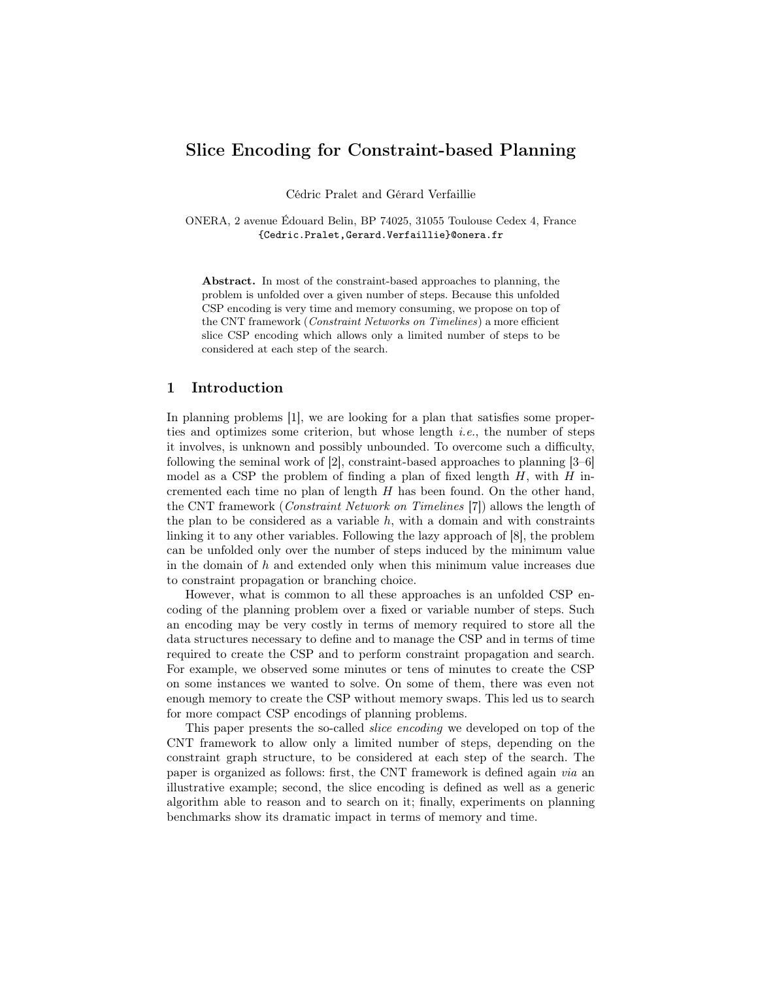# Slice Encoding for Constraint-based Planning

Cédric Pralet and Gérard Verfaillie

ONERA, 2 avenue Édouard Belin, BP 74025, 31055 Toulouse Cedex 4, France {Cedric.Pralet,Gerard.Verfaillie}@onera.fr

Abstract. In most of the constraint-based approaches to planning, the problem is unfolded over a given number of steps. Because this unfolded CSP encoding is very time and memory consuming, we propose on top of the CNT framework (Constraint Networks on Timelines) a more efficient slice CSP encoding which allows only a limited number of steps to be considered at each step of the search.

# 1 Introduction

In planning problems [1], we are looking for a plan that satisfies some properties and optimizes some criterion, but whose length *i.e.*, the number of steps it involves, is unknown and possibly unbounded. To overcome such a difficulty, following the seminal work of [2], constraint-based approaches to planning [3–6] model as a CSP the problem of finding a plan of fixed length  $H$ , with  $H$  incremented each time no plan of length  $H$  has been found. On the other hand, the CNT framework (Constraint Network on Timelines [7]) allows the length of the plan to be considered as a variable  $h$ , with a domain and with constraints linking it to any other variables. Following the lazy approach of [8], the problem can be unfolded only over the number of steps induced by the minimum value in the domain of  $h$  and extended only when this minimum value increases due to constraint propagation or branching choice.

However, what is common to all these approaches is an unfolded CSP encoding of the planning problem over a fixed or variable number of steps. Such an encoding may be very costly in terms of memory required to store all the data structures necessary to define and to manage the CSP and in terms of time required to create the CSP and to perform constraint propagation and search. For example, we observed some minutes or tens of minutes to create the CSP on some instances we wanted to solve. On some of them, there was even not enough memory to create the CSP without memory swaps. This led us to search for more compact CSP encodings of planning problems.

This paper presents the so-called slice encoding we developed on top of the CNT framework to allow only a limited number of steps, depending on the constraint graph structure, to be considered at each step of the search. The paper is organized as follows: first, the CNT framework is defined again via an illustrative example; second, the slice encoding is defined as well as a generic algorithm able to reason and to search on it; finally, experiments on planning benchmarks show its dramatic impact in terms of memory and time.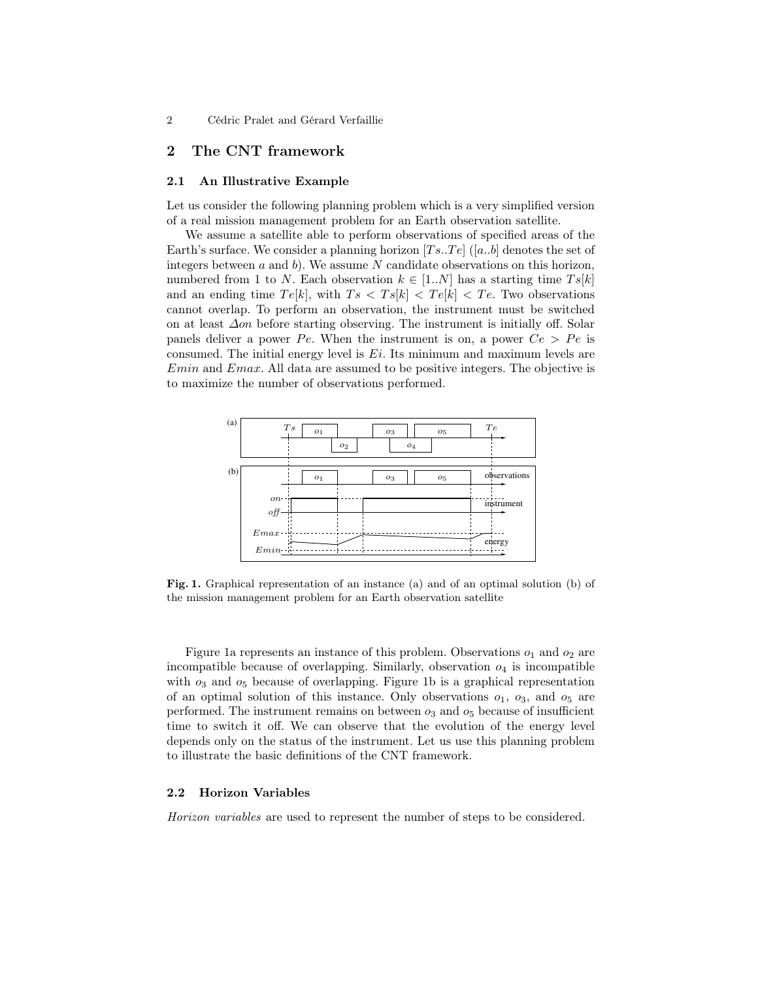# 2 The CNT framework

### 2.1 An Illustrative Example

Let us consider the following planning problem which is a very simplified version of a real mission management problem for an Earth observation satellite.

We assume a satellite able to perform observations of specified areas of the Earth's surface. We consider a planning horizon  $[Ts..Te]$  ([a..b] denotes the set of integers between  $a$  and  $b$ ). We assume  $N$  candidate observations on this horizon, numbered from 1 to N. Each observation  $k \in [1..N]$  has a starting time  $Ts[k]$ and an ending time  $Te[k]$ , with  $Ts < Ts[k] < Te[k] < Te$ . Two observations cannot overlap. To perform an observation, the instrument must be switched on at least ∆on before starting observing. The instrument is initially off. Solar panels deliver a power Pe. When the instrument is on, a power  $Ce > Pe$  is consumed. The initial energy level is  $E_i$ . Its minimum and maximum levels are Emin and Emax. All data are assumed to be positive integers. The objective is to maximize the number of observations performed.



Fig. 1. Graphical representation of an instance (a) and of an optimal solution (b) of the mission management problem for an Earth observation satellite

Figure 1a represents an instance of this problem. Observations  $o_1$  and  $o_2$  are incompatible because of overlapping. Similarly, observation  $o_4$  is incompatible with  $o_3$  and  $o_5$  because of overlapping. Figure 1b is a graphical representation of an optimal solution of this instance. Only observations  $o_1$ ,  $o_3$ , and  $o_5$  are performed. The instrument remains on between  $o_3$  and  $o_5$  because of insufficient time to switch it off. We can observe that the evolution of the energy level depends only on the status of the instrument. Let us use this planning problem to illustrate the basic definitions of the CNT framework.

#### 2.2 Horizon Variables

Horizon variables are used to represent the number of steps to be considered.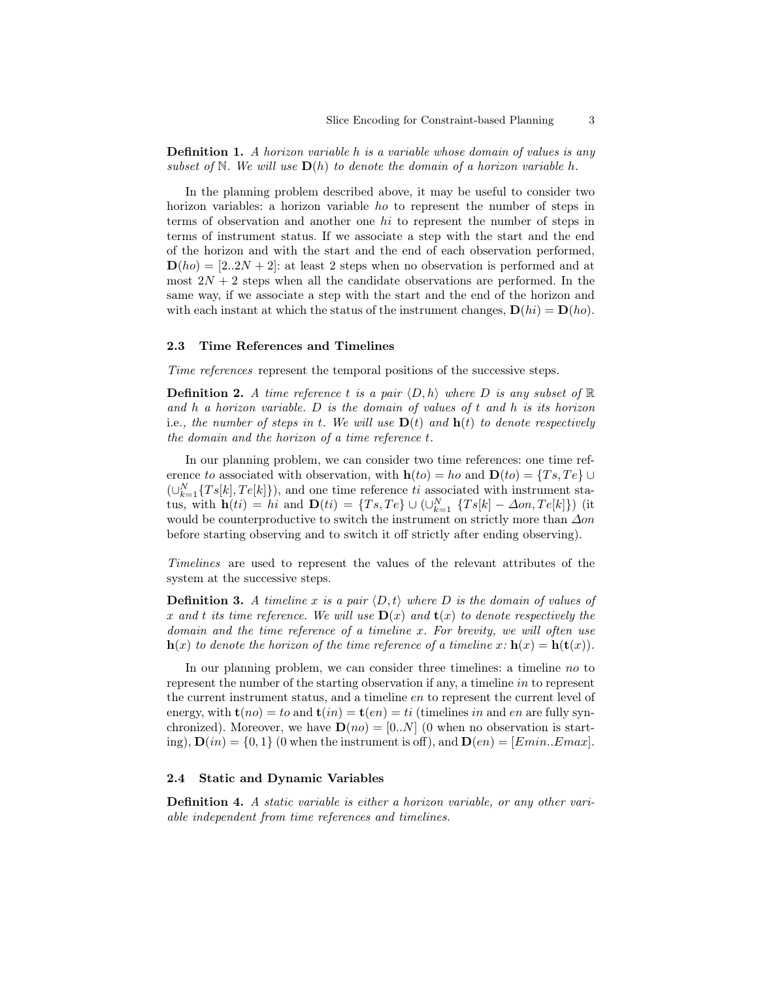**Definition 1.** A horizon variable h is a variable whose domain of values is any subset of N. We will use  $\mathbf{D}(h)$  to denote the domain of a horizon variable h.

In the planning problem described above, it may be useful to consider two horizon variables: a horizon variable ho to represent the number of steps in terms of observation and another one hi to represent the number of steps in terms of instrument status. If we associate a step with the start and the end of the horizon and with the start and the end of each observation performed,  $\mathbf{D}(ho) = [2..2N + 2]$ : at least 2 steps when no observation is performed and at most  $2N + 2$  steps when all the candidate observations are performed. In the same way, if we associate a step with the start and the end of the horizon and with each instant at which the status of the instrument changes,  $\mathbf{D}(hi) = \mathbf{D}(ho)$ .

#### 2.3 Time References and Timelines

Time references represent the temporal positions of the successive steps.

**Definition 2.** A time reference t is a pair  $\langle D, h \rangle$  where D is any subset of  $\mathbb{R}$ and h a horizon variable.  $D$  is the domain of values of t and h is its horizon i.e., the number of steps in t. We will use  $D(t)$  and  $h(t)$  to denote respectively the domain and the horizon of a time reference t.

In our planning problem, we can consider two time references: one time reference to associated with observation, with  $h(to) = ho$  and  $D(to) = \{Ts, Te\} \cup$  $(\cup_{k=1}^{N} \{Ts[k], Te[k]\})$ , and one time reference ti associated with instrument status, with  $\mathbf{h}(ti) = hi$  and  $\mathbf{D}(ti) = \{Ts, Te\} \cup (\bigcup_{k=1}^{N} \{Ts[k] - \Delta on, Te[k]\})$  (it would be counterproductive to switch the instrument on strictly more than  $\Delta$ on before starting observing and to switch it off strictly after ending observing).

Timelines are used to represent the values of the relevant attributes of the system at the successive steps.

**Definition 3.** A timeline x is a pair  $\langle D, t \rangle$  where D is the domain of values of x and t its time reference. We will use  $\mathbf{D}(x)$  and  $\mathbf{t}(x)$  to denote respectively the domain and the time reference of a timeline x. For brevity, we will often use  $h(x)$  to denote the horizon of the time reference of a timeline  $x: h(x) = h(t(x))$ .

In our planning problem, we can consider three timelines: a timeline no to represent the number of the starting observation if any, a timeline in to represent the current instrument status, and a timeline en to represent the current level of energy, with  $t(no) = to$  and  $t(in) = t(en) = ti$  (timelines in and en are fully synchronized). Moreover, we have  $\mathbf{D}(no) = [0..N]$  (0 when no observation is starting),  $\mathbf{D}(in) = \{0,1\}$  (0 when the instrument is off), and  $\mathbf{D}(en) = [Emin..Emax]$ .

### 2.4 Static and Dynamic Variables

Definition 4. A static variable is either a horizon variable, or any other variable independent from time references and timelines.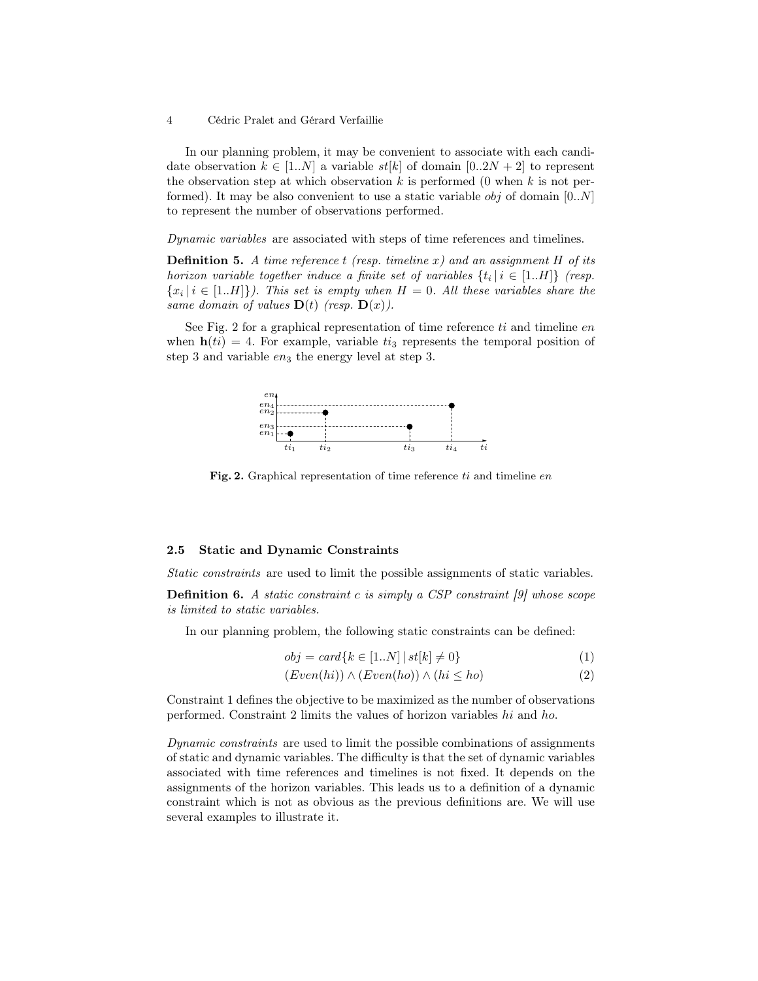In our planning problem, it may be convenient to associate with each candidate observation  $k \in [1..N]$  a variable  $st[k]$  of domain  $[0..2N+2]$  to represent the observation step at which observation k is performed (0 when k is not performed). It may be also convenient to use a static variable  $obj$  of domain  $[0..N]$ to represent the number of observations performed.

Dynamic variables are associated with steps of time references and timelines.

**Definition 5.** A time reference t (resp. timeline x) and an assignment H of its horizon variable together induce a finite set of variables  $\{t_i \mid i \in [1..H]\}$  (resp.  ${x_i | i \in [1..H]}$ . This set is empty when  $H = 0$ . All these variables share the same domain of values  $\mathbf{D}(t)$  (resp.  $\mathbf{D}(x)$ ).

See Fig. 2 for a graphical representation of time reference  $ti$  and timeline  $en$ when  $h(ti) = 4$ . For example, variable  $t_i$  represents the temporal position of step 3 and variable  $en_3$  the energy level at step 3.



Fig. 2. Graphical representation of time reference  $ti$  and timeline  $en$ 

### 2.5 Static and Dynamic Constraints

Static constraints are used to limit the possible assignments of static variables.

**Definition 6.** A static constraint c is simply a CSP constraint  $[9]$  whose scope is limited to static variables.

In our planning problem, the following static constraints can be defined:

$$
obj = card\{k \in [1..N] \mid st[k] \neq 0\}
$$
\n
$$
(1)
$$

$$
(Even(hi)) \land (Even(ho)) \land (hi \le ho)
$$
\n
$$
(2)
$$

Constraint 1 defines the objective to be maximized as the number of observations performed. Constraint 2 limits the values of horizon variables hi and ho.

Dynamic constraints are used to limit the possible combinations of assignments of static and dynamic variables. The difficulty is that the set of dynamic variables associated with time references and timelines is not fixed. It depends on the assignments of the horizon variables. This leads us to a definition of a dynamic constraint which is not as obvious as the previous definitions are. We will use several examples to illustrate it.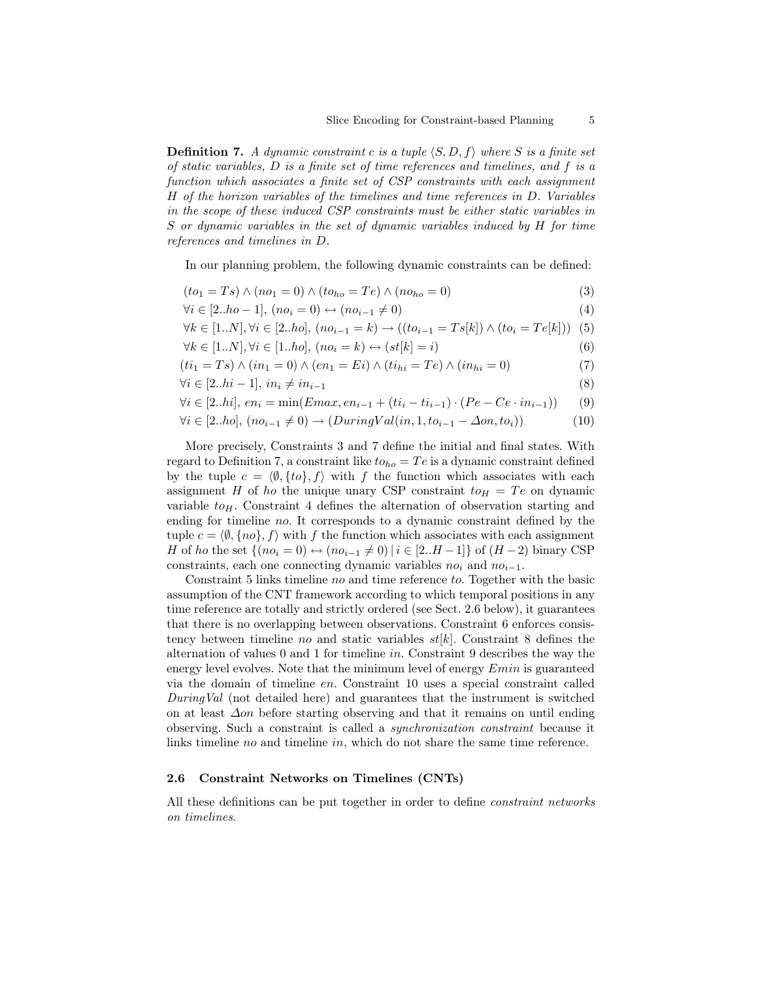**Definition 7.** A dynamic constraint c is a tuple  $\langle S, D, f \rangle$  where S is a finite set of static variables, D is a finite set of time references and timelines, and f is a function which associates a finite set of CSP constraints with each assignment H of the horizon variables of the timelines and time references in D. Variables in the scope of these induced CSP constraints must be either static variables in S or dynamic variables in the set of dynamic variables induced by H for time references and timelines in D.

In our planning problem, the following dynamic constraints can be defined:

$$
(to1 = Ts) \land (no1 = 0) \land (toho = Te) \land (noho = 0)
$$
\n(3)

$$
\forall i \in [2..ho-1], (no_i = 0) \leftrightarrow (no_{i-1} \neq 0)
$$
\n(4)

$$
\forall k \in [1..N], \forall i \in [2..ho], (no_{i-1} = k) \rightarrow ((to_{i-1} = Ts[k]) \land (to_i = Te[k])) \tag{5}
$$

∀k ∈ [1..N], ∀i ∈ [1..ho], (no<sup>i</sup> = k) ↔ (st[k] = i) (6)

$$
(ti_1 = Ts) \land (in_1 = 0) \land (en_1 = Ei) \land (ti_{hi} = Te) \land (in_{hi} = 0)
$$
\n(7)

$$
\forall i \in [2..hi-1], in_i \neq in_{i-1} \tag{8}
$$

$$
\forall i \in [2..hi], \, en_i = \min(Emax, en_{i-1} + (ti_i - ti_{i-1}) \cdot (Pe - Ce \cdot in_{i-1})) \tag{9}
$$

$$
\forall i \in [2..ho], (no_{i-1} \neq 0) \rightarrow (DuringVal(in, 1, to_{i-1} - \Delta on, to_i))
$$
\n
$$
(10)
$$

More precisely, Constraints 3 and 7 define the initial and final states. With regard to Definition 7, a constraint like  $to_{ho} = Te$  is a dynamic constraint defined by the tuple  $c = \langle \emptyset, \{to\}, f \rangle$  with f the function which associates with each assignment H of ho the unique unary CSP constraint  $to_H = Te$  on dynamic variable  $to_H$ . Constraint 4 defines the alternation of observation starting and ending for timeline no. It corresponds to a dynamic constraint defined by the tuple  $c = \langle \emptyset, \{no\}, f \rangle$  with f the function which associates with each assignment *H* of *ho* the set { $(no_i = 0)$  ↔  $(no_{i-1} \neq 0) | i \in [2..H-1]$ } of  $(H-2)$  binary CSP constraints, each one connecting dynamic variables  $no_i$  and  $no_{i-1}$ .

Constraint 5 links timeline no and time reference to. Together with the basic assumption of the CNT framework according to which temporal positions in any time reference are totally and strictly ordered (see Sect. 2.6 below), it guarantees that there is no overlapping between observations. Constraint 6 enforces consistency between timeline no and static variables  $st[k]$ . Constraint 8 defines the alternation of values 0 and 1 for timeline in. Constraint 9 describes the way the energy level evolves. Note that the minimum level of energy  $Emin$  is guaranteed via the domain of timeline en. Constraint 10 uses a special constraint called DuringVal (not detailed here) and guarantees that the instrument is switched on at least ∆on before starting observing and that it remains on until ending observing. Such a constraint is called a synchronization constraint because it links timeline no and timeline in, which do not share the same time reference.

### 2.6 Constraint Networks on Timelines (CNTs)

All these definitions can be put together in order to define constraint networks on timelines.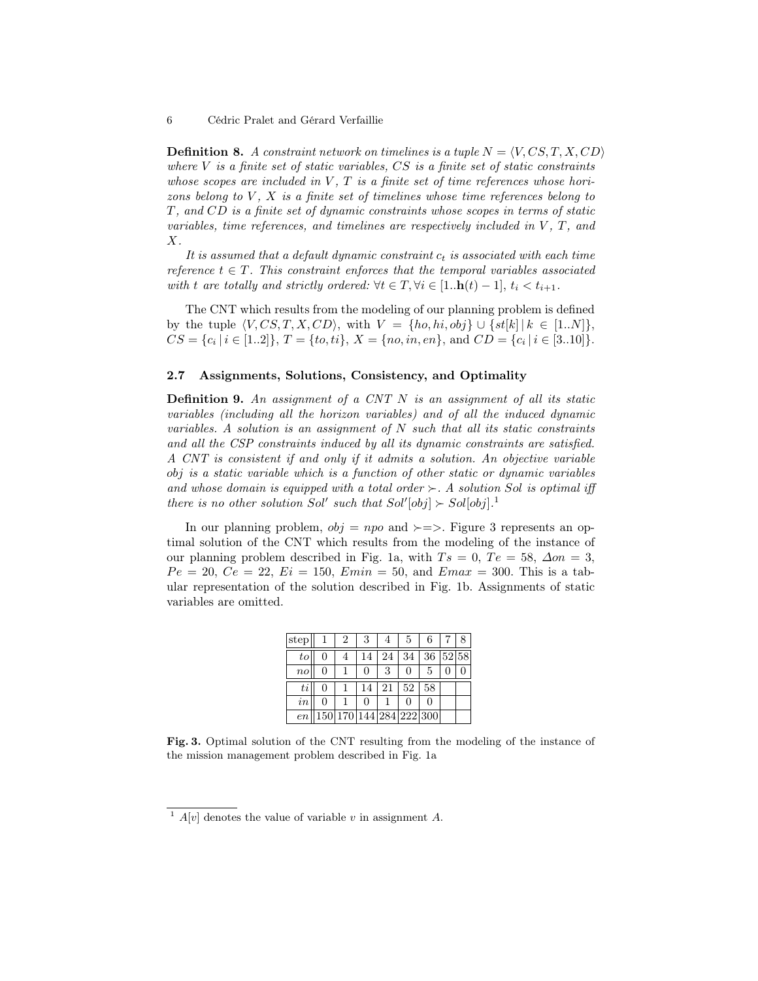**Definition 8.** A constraint network on timelines is a tuple  $N = \langle V, CS, T, X, CD \rangle$ where  $V$  is a finite set of static variables,  $CS$  is a finite set of static constraints whose scopes are included in  $V$ ,  $T$  is a finite set of time references whose horizons belong to  $V$ ,  $X$  is a finite set of timelines whose time references belong to T, and CD is a finite set of dynamic constraints whose scopes in terms of static variables, time references, and timelines are respectively included in  $V$ ,  $T$ , and  $X$ .

It is assumed that a default dynamic constraint  $c_t$  is associated with each time reference  $t \in T$ . This constraint enforces that the temporal variables associated with t are totally and strictly ordered:  $\forall t \in T, \forall i \in [1..h(t) - 1], t_i < t_{i+1}.$ 

The CNT which results from the modeling of our planning problem is defined by the tuple  $\langle V, CS, T, X, CD \rangle$ , with  $V = \{ho, hi, obj\} \cup \{st[k] | k \in [1..N]\},$  $CS = \{c_i \mid i \in [1..2]\}, T = \{to, ti\}, X = \{no, in, en\}, \text{ and } CD = \{c_i \mid i \in [3..10]\}.$ 

### 2.7 Assignments, Solutions, Consistency, and Optimality

**Definition 9.** An assignment of a CNT  $N$  is an assignment of all its static variables (including all the horizon variables) and of all the induced dynamic variables. A solution is an assignment of  $N$  such that all its static constraints and all the CSP constraints induced by all its dynamic constraints are satisfied. A CNT is consistent if and only if it admits a solution. An objective variable obj is a static variable which is a function of other static or dynamic variables and whose domain is equipped with a total order  $\succ$ . A solution Sol is optimal iff there is no other solution Sol' such that  $Sol'[obj] \succ Sol[obj]$ .<sup>1</sup>

In our planning problem,  $obj = npo$  and  $\succ = \succ$ . Figure 3 represents an optimal solution of the CNT which results from the modeling of the instance of our planning problem described in Fig. 1a, with  $Ts = 0$ ,  $Te = 58$ ,  $\Delta on = 3$ ,  $Pe = 20, Ce = 22, Ei = 150, Emin = 50, and Emax = 300. This is a tab$ ular representation of the solution described in Fig. 1b. Assignments of static variables are omitted.

| istep     | 2 | 3  |    | $\mathcal{D}$                     | 6        |  |
|-----------|---|----|----|-----------------------------------|----------|--|
| to        |   | 14 | 24 | 34                                | 36 52 58 |  |
| $n_{O}$   |   | 0  | 3  |                                   | 5        |  |
| $t\imath$ |   | 14 | 21 | 52                                | 58       |  |
| $\it in$  |   |    |    |                                   |          |  |
| en        |   |    |    | 150   170   144   284   222   300 |          |  |

Fig. 3. Optimal solution of the CNT resulting from the modeling of the instance of the mission management problem described in Fig. 1a

<sup>&</sup>lt;sup>1</sup>  $A[v]$  denotes the value of variable v in assignment A.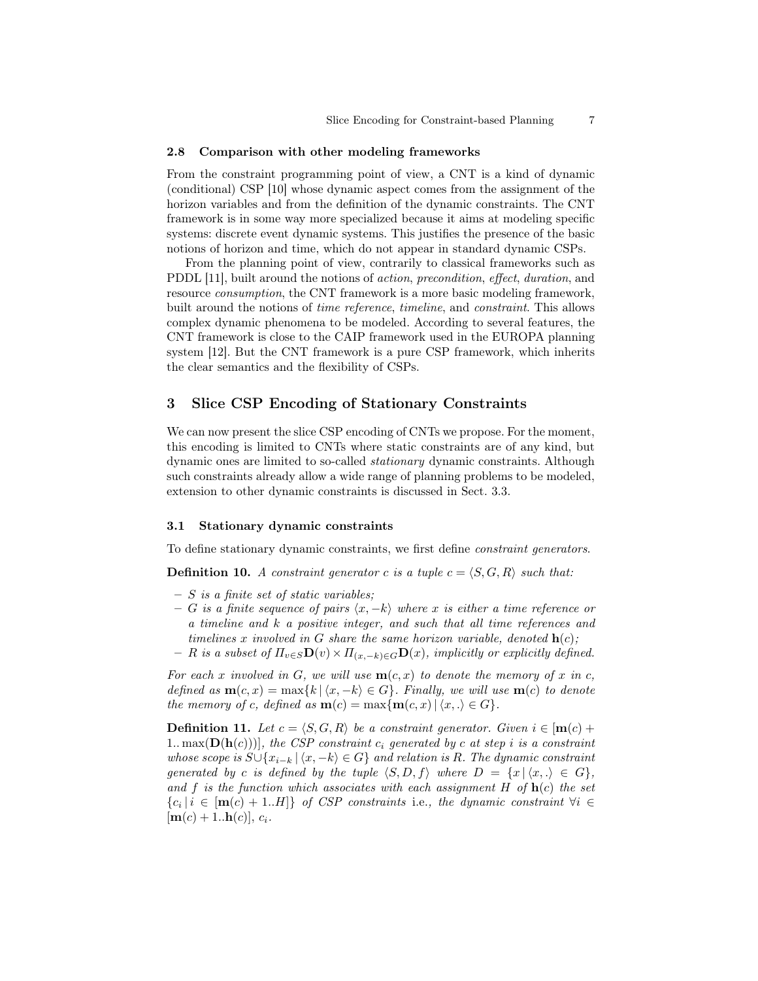#### 2.8 Comparison with other modeling frameworks

From the constraint programming point of view, a CNT is a kind of dynamic (conditional) CSP [10] whose dynamic aspect comes from the assignment of the horizon variables and from the definition of the dynamic constraints. The CNT framework is in some way more specialized because it aims at modeling specific systems: discrete event dynamic systems. This justifies the presence of the basic notions of horizon and time, which do not appear in standard dynamic CSPs.

From the planning point of view, contrarily to classical frameworks such as PDDL [11], built around the notions of action, precondition, effect, duration, and resource consumption, the CNT framework is a more basic modeling framework, built around the notions of time reference, timeline, and constraint. This allows complex dynamic phenomena to be modeled. According to several features, the CNT framework is close to the CAIP framework used in the EUROPA planning system [12]. But the CNT framework is a pure CSP framework, which inherits the clear semantics and the flexibility of CSPs.

# 3 Slice CSP Encoding of Stationary Constraints

We can now present the slice CSP encoding of CNTs we propose. For the moment, this encoding is limited to CNTs where static constraints are of any kind, but dynamic ones are limited to so-called stationary dynamic constraints. Although such constraints already allow a wide range of planning problems to be modeled, extension to other dynamic constraints is discussed in Sect. 3.3.

### 3.1 Stationary dynamic constraints

To define stationary dynamic constraints, we first define constraint generators.

**Definition 10.** A constraint generator c is a tuple  $c = \langle S, G, R \rangle$  such that:

- $S$  is a finite set of static variables;
- G is a finite sequence of pairs  $\langle x, -k \rangle$  where x is either a time reference or a timeline and k a positive integer, and such that all time references and timelines x involved in G share the same horizon variable, denoted  $\mathbf{h}(c)$ ;
- $R$  is a subset of  $\Pi_{v \in S} \mathbf{D}(v) \times \Pi_{(x,-k) \in G} \mathbf{D}(x)$ , implicitly or explicitly defined.

For each x involved in G, we will use  $m(c, x)$  to denote the memory of x in c, defined as  $\mathbf{m}(c, x) = \max\{k \mid (x, -k) \in G\}$ . Finally, we will use  $\mathbf{m}(c)$  to denote the memory of c, defined as  $\mathbf{m}(c) = \max\{\mathbf{m}(c, x) | \langle x, .\rangle \in G\}.$ 

**Definition 11.** Let  $c = \langle S, G, R \rangle$  be a constraint generator. Given  $i \in [m(c) +$ 1.. max $(D(h(c)))$ , the CSP constraint  $c_i$  generated by c at step i is a constraint whose scope is  $S\cup \{x_{i-k} \mid \langle x, -k \rangle \in G\}$  and relation is R. The dynamic constraint generated by c is defined by the tuple  $\langle S, D, f \rangle$  where  $D = \{x \mid \langle x, . \rangle \in G\},$ and f is the function which associates with each assignment H of  $h(c)$  the set  ${c_i \mid i \in [m(c) + 1..H]}$  of CSP constraints i.e., the dynamic constraint  $\forall i \in$  $[m(c) + 1..h(c)], c_i.$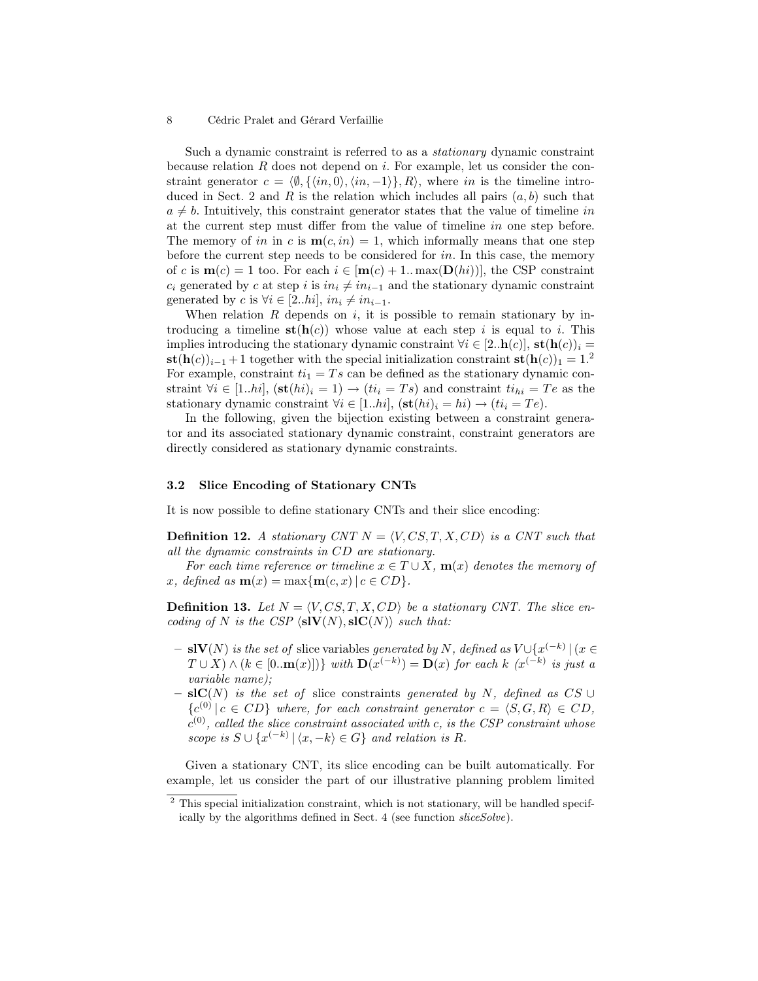Such a dynamic constraint is referred to as a stationary dynamic constraint because relation  $R$  does not depend on  $i$ . For example, let us consider the constraint generator  $c = \langle \emptyset, \{\langle in, 0 \rangle, \langle in, -1 \rangle\}, R \rangle$ , where in is the timeline introduced in Sect. 2 and R is the relation which includes all pairs  $(a, b)$  such that  $a \neq b$ . Intuitively, this constraint generator states that the value of timeline in at the current step must differ from the value of timeline in one step before. The memory of in in c is  $\mathbf{m}(c, in) = 1$ , which informally means that one step before the current step needs to be considered for in. In this case, the memory of c is  $\mathbf{m}(c) = 1$  too. For each  $i \in [\mathbf{m}(c) + 1]$ .  $\max(\mathbf{D}(hi))$ , the CSP constraint  $c_i$  generated by c at step i is  $in_i \neq in_{i-1}$  and the stationary dynamic constraint generated by c is  $\forall i \in [2..hi], in_i \neq in_{i-1}$ .

When relation  $R$  depends on  $i$ , it is possible to remain stationary by introducing a timeline  $\mathbf{st}(\mathbf{h}(c))$  whose value at each step i is equal to i. This implies introducing the stationary dynamic constraint  $\forall i \in [2..h(c)], \operatorname{st}(\mathbf{h}(c))_i =$  $\mathbf{st}(\mathbf{h}(c))_{i-1} + 1$  together with the special initialization constraint  $\mathbf{st}(\mathbf{h}(c))_1 = 1$ .<sup>2</sup> For example, constraint  $ti_1 = Ts$  can be defined as the stationary dynamic constraint  $\forall i \in [1..hi], (\mathbf{st}(hi)_i = 1) \rightarrow (ti_i = Ts)$  and constraint  $ti_{hi} = Te$  as the stationary dynamic constraint  $\forall i \in [1..hi], (\mathbf{st}(hi)_i = hi) \rightarrow (ti_i = Te)$ .

In the following, given the bijection existing between a constraint generator and its associated stationary dynamic constraint, constraint generators are directly considered as stationary dynamic constraints.

### 3.2 Slice Encoding of Stationary CNTs

It is now possible to define stationary CNTs and their slice encoding:

**Definition 12.** A stationary CNT  $N = \langle V, CS, T, X, CD \rangle$  is a CNT such that all the dynamic constraints in CD are stationary.

For each time reference or timeline  $x \in T \cup X$ ,  $m(x)$  denotes the memory of x, defined as  $\mathbf{m}(x) = \max\{\mathbf{m}(c, x) \mid c \in CD\}$ .

**Definition 13.** Let  $N = \langle V, CS, T, X, CD \rangle$  be a stationary CNT. The slice encoding of N is the CSP  $\langle s\mathbf{IV}(N), s\mathbf{IC}(N)\rangle$  such that:

- $-$  slV(N) is the set of slice variables generated by N, defined as  $V \cup \{x^{(-k)} | (x \in$  $T \cup X) \wedge (k \in [0, \mathbf{m}(x)])$  with  $\mathbf{D}(x^{(-k)}) = \mathbf{D}(x)$  for each k  $(x^{(-k)})$  is just a variable name);
- $-$  slC(N) is the set of slice constraints generated by N, defined as CS ∪  ${c^{(0)} | c \in CD}$  where, for each constraint generator  $c = \langle S, G, R \rangle \in CD$ ,  $c^{(0)}$ , called the slice constraint associated with c, is the CSP constraint whose scope is  $S \cup \{x^{(-k)} | \langle x, -k \rangle \in G\}$  and relation is R.

Given a stationary CNT, its slice encoding can be built automatically. For example, let us consider the part of our illustrative planning problem limited

 $2$  This special initialization constraint, which is not stationary, will be handled specifically by the algorithms defined in Sect. 4 (see function sliceSolve).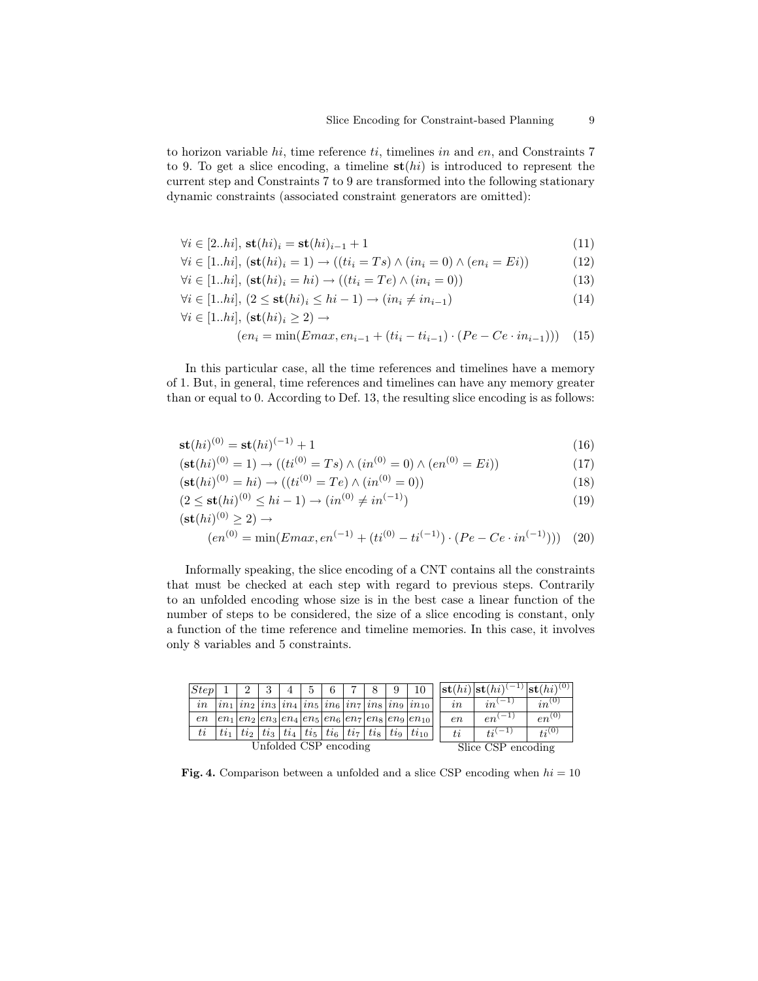to horizon variable  $hi$ , time reference  $ti$ , timelines in and  $en$ , and Constraints 7 to 9. To get a slice encoding, a timeline  $\mathbf{st}(hi)$  is introduced to represent the current step and Constraints 7 to 9 are transformed into the following stationary dynamic constraints (associated constraint generators are omitted):

$$
\forall i \in [2..hi], \mathbf{st}(hi)_i = \mathbf{st}(hi)_{i-1} + 1 \tag{11}
$$

$$
\forall i \in [1..hi], (\mathbf{st}(hi)_i = 1) \rightarrow ((ti_i = Ts) \land (in_i = 0) \land (en_i = Ei))
$$
\n(12)

$$
\forall i \in [1..hi], (\mathbf{st}(hi)_i = hi) \rightarrow ((ti_i = Te) \land (in_i = 0))
$$
\n(13)

$$
\forall i \in [1..hi], \ (2 \le \mathbf{st}(hi)_i \le hi-1) \rightarrow (in_i \ne in_{i-1}) \tag{14}
$$

$$
\forall i \in [1..hi], (\mathbf{st}(hi)_i \ge 2) \to (en_i = \min(Emax, en_{i-1} + (ti_i - ti_{i-1}) \cdot (Pe - Ce \cdot in_{i-1}))) \tag{15}
$$

In this particular case, all the time references and timelines have a memory of 1. But, in general, time references and timelines can have any memory greater than or equal to 0. According to Def. 13, the resulting slice encoding is as follows:

$$
st(hi)^{(0)} = st(hi)^{(-1)} + 1
$$
\n(16)

$$
(\mathbf{st}(hi)^{(0)} = 1) \to ((ti^{(0)} = Ts) \land (in^{(0)} = 0) \land (en^{(0)} = Ei))
$$
\n(17)

$$
(\mathbf{st}(hi)^{(0)} = hi) \to ((ti^{(0)} = Te) \land (in^{(0)} = 0))
$$
\n(18)

$$
(2 \le \mathbf{st}(hi)^{(0)} \le hi - 1) \to (in^{(0)} \ne in^{(-1)})
$$
\n(19)

$$
(\mathbf{st}(hi)^{(0)} \ge 2) \rightarrow
$$

$$
(en^{(0)} = \min(Emax, en^{(-1)} + (ti^{(0)} - ti^{(-1)}) \cdot (Pe - Ce \cdot in^{(-1)}))) \tag{20}
$$

Informally speaking, the slice encoding of a CNT contains all the constraints that must be checked at each step with regard to previous steps. Contrarily to an unfolded encoding whose size is in the best case a linear function of the number of steps to be considered, the size of a slice encoding is constant, only a function of the time reference and timeline memories. In this case, it involves only 8 variables and 5 constraints.

| Step                  |        |          |  | 4 | 5.                                                              | 6 |  | 9                  |                                                                                                                                                                                                                     |    | $ \mathbf{st}(hi) \mathbf{st}(hi) $ | $^{-1}$ st $(hi)^{(0)}$ |
|-----------------------|--------|----------|--|---|-----------------------------------------------------------------|---|--|--------------------|---------------------------------------------------------------------------------------------------------------------------------------------------------------------------------------------------------------------|----|-------------------------------------|-------------------------|
| in                    |        |          |  |   |                                                                 |   |  |                    | $\left  \sin \left( \sin \frac{\pi}{2} \right) \sin \frac{\pi}{2} \right $ in $\left  \sin \left( \sin \frac{\pi}{2} \right) \sin \frac{\pi}{2} \right $ in $\left  \sin \left( \sin \frac{\pi}{2} \right) \right $ | in | $in^{(-1)}$                         | $in^{(0)}$              |
| en                    |        |          |  |   |                                                                 |   |  |                    | $ en_1 en_2 en_3 en_4 en_5 en_6 en_7 en_8 en_9 en_{10} $                                                                                                                                                            | en | $-1$<br>en'                         | $en^{(0)}$              |
| ti                    | $ti_1$ | $t_{i2}$ |  |   | $ti_3 \,   \, ti_4 \,   \, ti_5 \,   \, ti_6 \,   \, ti_7 \,  $ |   |  |                    | $ t_{8} t_{19} t_{10}$                                                                                                                                                                                              | ti | $ti^{(-1)}$                         | $t_i^{(0)}$             |
| Unfolded CSP encoding |        |          |  |   |                                                                 |   |  | Slice CSP encoding |                                                                                                                                                                                                                     |    |                                     |                         |

**Fig. 4.** Comparison between a unfolded and a slice CSP encoding when  $hi = 10$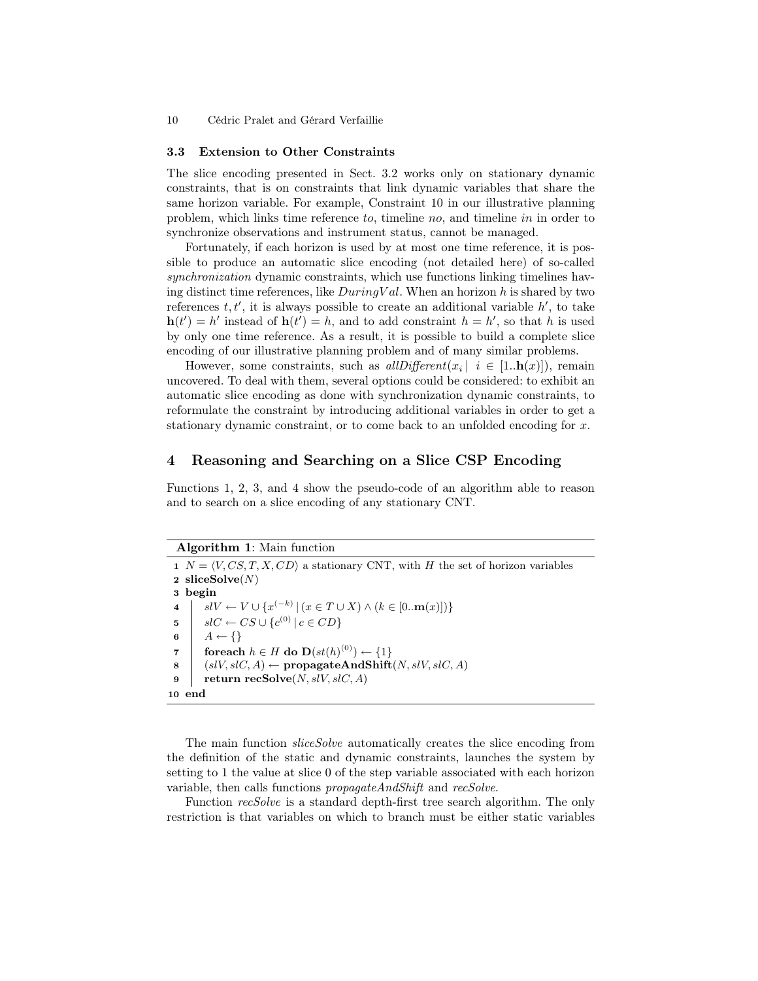#### 3.3 Extension to Other Constraints

The slice encoding presented in Sect. 3.2 works only on stationary dynamic constraints, that is on constraints that link dynamic variables that share the same horizon variable. For example, Constraint 10 in our illustrative planning problem, which links time reference to, timeline no, and timeline in in order to synchronize observations and instrument status, cannot be managed.

Fortunately, if each horizon is used by at most one time reference, it is possible to produce an automatic slice encoding (not detailed here) of so-called synchronization dynamic constraints, which use functions linking timelines having distinct time references, like  $DuringVal$ . When an horizon h is shared by two references  $t, t'$ , it is always possible to create an additional variable  $h'$ , to take  $h(t') = h'$  instead of  $h(t') = h$ , and to add constraint  $h = h'$ , so that h is used by only one time reference. As a result, it is possible to build a complete slice encoding of our illustrative planning problem and of many similar problems.

However, some constraints, such as  $allDifferent(x_i | i \in [1..h(x)])$ , remain uncovered. To deal with them, several options could be considered: to exhibit an automatic slice encoding as done with synchronization dynamic constraints, to reformulate the constraint by introducing additional variables in order to get a stationary dynamic constraint, or to come back to an unfolded encoding for x.

# 4 Reasoning and Searching on a Slice CSP Encoding

Functions 1, 2, 3, and 4 show the pseudo-code of an algorithm able to reason and to search on a slice encoding of any stationary CNT.

| <b>Algorithm 1:</b> Main function                                                                         |  |  |  |  |  |
|-----------------------------------------------------------------------------------------------------------|--|--|--|--|--|
| $1 \ N = \langle V, CS, T, X, CD \rangle$ a stationary CNT, with H the set of horizon variables           |  |  |  |  |  |
| 2 sliceSolve $(N)$                                                                                        |  |  |  |  |  |
| 3 begin                                                                                                   |  |  |  |  |  |
| $slV \leftarrow V \cup \{x^{(-k)}   (x \in T \cup X) \wedge (k \in [0m(x)])\}$<br>$\overline{\mathbf{4}}$ |  |  |  |  |  |
| $ slC \leftarrow CS \cup \{c^{(0)}   c \in CD\}$<br>$\mathbf{5}$                                          |  |  |  |  |  |
| $A \leftarrow \{\}$<br>6                                                                                  |  |  |  |  |  |
| for each $h \in H$ do $\mathbf{D}(st(h)^{(0)}) \leftarrow \{1\}$<br>$\overline{7}$                        |  |  |  |  |  |
| $(slV, slC, A) \leftarrow \text{propagateAndShift}(N, slV, slC, A)$<br>8                                  |  |  |  |  |  |
| return recSolve $(N, slV, slC, A)$<br>9                                                                   |  |  |  |  |  |
| end<br>10                                                                                                 |  |  |  |  |  |

The main function *sliceSolve* automatically creates the slice encoding from the definition of the static and dynamic constraints, launches the system by setting to 1 the value at slice 0 of the step variable associated with each horizon variable, then calls functions *propagateAndShift* and *recSolve*.

Function recSolve is a standard depth-first tree search algorithm. The only restriction is that variables on which to branch must be either static variables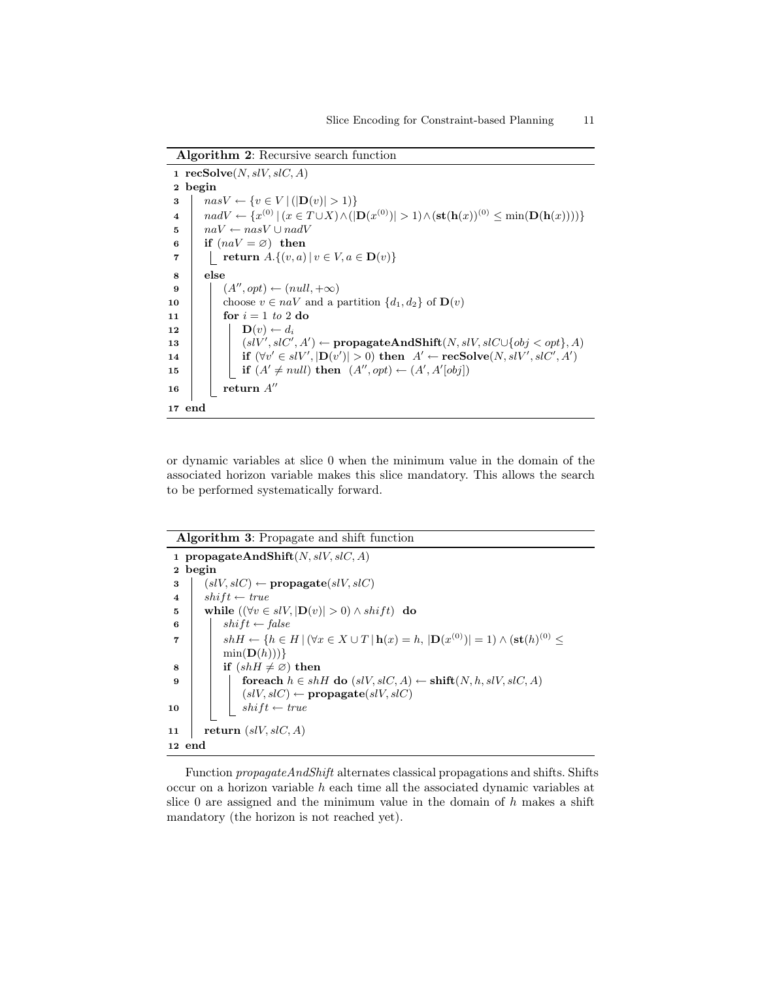Algorithm 2: Recursive search function

|                | 1 recSolve $(N, slV, slC, A)$                                                                                                                                      |
|----------------|--------------------------------------------------------------------------------------------------------------------------------------------------------------------|
|                | 2 begin                                                                                                                                                            |
| 3              | $nasV \leftarrow \{v \in V   ( \mathbf{D}(v)  > 1) \}$                                                                                                             |
| $\overline{4}$ | $nadV \leftarrow \{x^{(0)}   (x \in T \cup X) \wedge ( \mathbf{D}(x^{(0)})  > 1) \wedge (\mathbf{st}(\mathbf{h}(x))^{(0)} \leq \min(\mathbf{D}(\mathbf{h}(x))))\}$ |
| 5              | $naV \leftarrow nasV \cup nadV$                                                                                                                                    |
| 6              | if $(naV = \varnothing)$ then                                                                                                                                      |
| 7              | return $A.\{(v,a)   v \in V, a \in \mathbf{D}(v)\}\)$                                                                                                              |
| 8              | else                                                                                                                                                               |
| 9              | $(A'', opt) \leftarrow (null, +\infty)$                                                                                                                            |
| 10             | choose $v \in naV$ and a partition $\{d_1, d_2\}$ of $\mathbf{D}(v)$                                                                                               |
| 11             | for $i = 1$ to 2 do                                                                                                                                                |
| 12             | $\mathbf{D}(v) \leftarrow d_i$                                                                                                                                     |
| 13             | $(s\ell V', s\ell C', A') \leftarrow \text{propagateAndShift}(N, s\ell V, s\ell C \cup \{obj < opt\}, A)$                                                          |
| 14             | if $(\forall v' \in slV',  \mathbf{D}(v')  > 0)$ then $A' \leftarrow \text{recSolve}(N, slV', slC', A')$                                                           |
| 15             | if $(A' \neq null)$ then $(A'', opt) \leftarrow (A', A'[obj])$                                                                                                     |
| 16             | return $A''$                                                                                                                                                       |
| 17 end         |                                                                                                                                                                    |

or dynamic variables at slice 0 when the minimum value in the domain of the associated horizon variable makes this slice mandatory. This allows the search to be performed systematically forward.

```
Algorithm 3: Propagate and shift function
 1 propagateAndShift(N, slV, slC, A)2 begin
 3 (s, l, s, l, c) \leftarrow \text{propagate}(s, l, s, l, c)4 \mid shift \leftarrow true5 while ((\forall v \in slV, |\mathbf{D}(v)| > 0) \wedge shift) do
 6 | shift \leftarrow falseshH ← {h ∈ H |(∀x ∈ X ∪ T | h(x) = h, |D(x
(0))| = 1) ∧ (st(h)
(0) 7 ≤
           \min(D(h)))\}8 if (shH \neq \emptyset) then
 9 foreach h \in shH do (s/V, s/C, A) \leftarrow shift(N, h, s/V, s/C, A)(slV, slC) \leftarrow \textbf{propagate}(slV, slC)10 | shift \leftarrow true11 return (slV, slC, A)12 end
```
Function propagateAndShift alternates classical propagations and shifts. Shifts occur on a horizon variable h each time all the associated dynamic variables at slice 0 are assigned and the minimum value in the domain of  $h$  makes a shift mandatory (the horizon is not reached yet).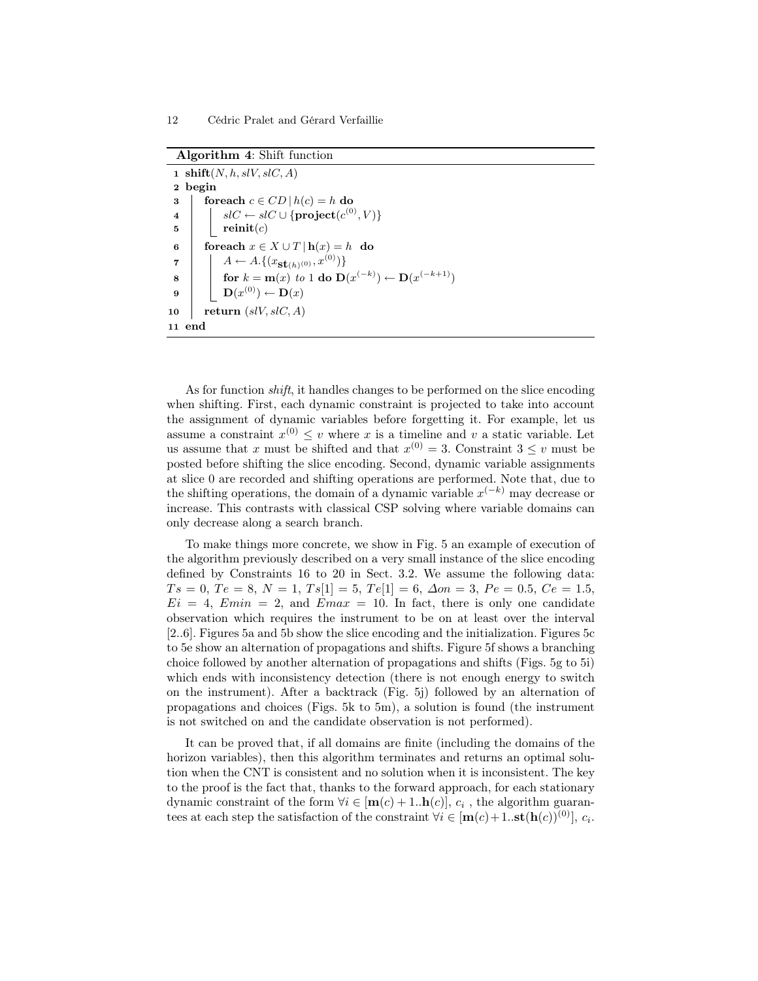|                         | 1 shift(N, h, slV, slC, A)                                    |  |  |  |  |  |  |
|-------------------------|---------------------------------------------------------------|--|--|--|--|--|--|
|                         | 2 begin                                                       |  |  |  |  |  |  |
| 3                       | foreach $c \in CD   h(c) = h$ do                              |  |  |  |  |  |  |
| $\overline{\mathbf{4}}$ | $slC \leftarrow slC \cup \{ \textbf{project}(c^{(0)}, V) \}$  |  |  |  |  |  |  |
| 5                       | reinit(c)                                                     |  |  |  |  |  |  |
| 6                       | for each $x \in X \cup T \mid h(x) = h$ do                    |  |  |  |  |  |  |
| 7                       | $A \leftarrow A. \{(x_{\mathbf{St}(h)^{(0)}}, x^{(0)})\}$     |  |  |  |  |  |  |
| 8                       | for $k = m(x)$ to 1 do $D(x^{(-k)}) \leftarrow D(x^{(-k+1)})$ |  |  |  |  |  |  |
| 9                       | $\mathbf{D}(x^{(0)}) \leftarrow \mathbf{D}(x)$                |  |  |  |  |  |  |
| 10                      | return $(s\ell V, slC, A)$                                    |  |  |  |  |  |  |
| 11                      | end                                                           |  |  |  |  |  |  |

As for function shift, it handles changes to be performed on the slice encoding when shifting. First, each dynamic constraint is projected to take into account the assignment of dynamic variables before forgetting it. For example, let us assume a constraint  $x^{(0)} \leq v$  where x is a timeline and v a static variable. Let us assume that x must be shifted and that  $x^{(0)} = 3$ . Constraint  $3 \leq v$  must be posted before shifting the slice encoding. Second, dynamic variable assignments at slice 0 are recorded and shifting operations are performed. Note that, due to the shifting operations, the domain of a dynamic variable  $x^{(-k)}$  may decrease or increase. This contrasts with classical CSP solving where variable domains can only decrease along a search branch.

To make things more concrete, we show in Fig. 5 an example of execution of the algorithm previously described on a very small instance of the slice encoding defined by Constraints 16 to 20 in Sect. 3.2. We assume the following data:  $Ts = 0, Te = 8, N = 1, Ts[1] = 5, Te[1] = 6, \Delta on = 3, Pe = 0.5, Ce = 1.5,$  $E_i = 4$ ,  $Emin = 2$ , and  $Emax = 10$ . In fact, there is only one candidate observation which requires the instrument to be on at least over the interval [2..6]. Figures 5a and 5b show the slice encoding and the initialization. Figures 5c to 5e show an alternation of propagations and shifts. Figure 5f shows a branching choice followed by another alternation of propagations and shifts (Figs. 5g to 5i) which ends with inconsistency detection (there is not enough energy to switch on the instrument). After a backtrack (Fig. 5j) followed by an alternation of propagations and choices (Figs. 5k to 5m), a solution is found (the instrument is not switched on and the candidate observation is not performed).

It can be proved that, if all domains are finite (including the domains of the horizon variables), then this algorithm terminates and returns an optimal solution when the CNT is consistent and no solution when it is inconsistent. The key to the proof is the fact that, thanks to the forward approach, for each stationary dynamic constraint of the form  $\forall i \in [\mathbf{m}(c) + 1..\mathbf{h}(c)], c_i$ , the algorithm guarantees at each step the satisfaction of the constraint  $\forall i \in [\mathbf{m}(c) + 1..\mathbf{st}(\mathbf{h}(c))^{(0)}], c_i$ .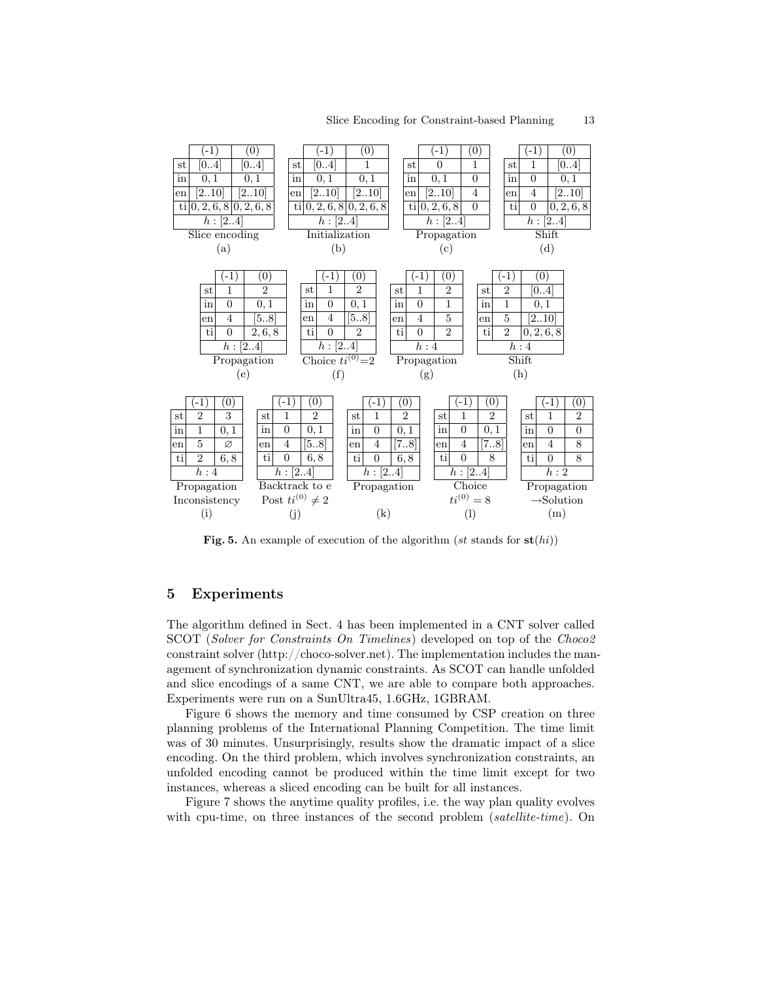

Fig. 5. An example of execution of the algorithm (st stands for  $\textbf{st}(hi)$ )

# 5 Experiments

The algorithm defined in Sect. 4 has been implemented in a CNT solver called SCOT (Solver for Constraints On Timelines) developed on top of the Choco2 constraint solver (http://choco-solver.net). The implementation includes the management of synchronization dynamic constraints. As SCOT can handle unfolded and slice encodings of a same CNT, we are able to compare both approaches. Experiments were run on a SunUltra45, 1.6GHz, 1GBRAM.

Figure 6 shows the memory and time consumed by CSP creation on three planning problems of the International Planning Competition. The time limit was of 30 minutes. Unsurprisingly, results show the dramatic impact of a slice encoding. On the third problem, which involves synchronization constraints, an unfolded encoding cannot be produced within the time limit except for two instances, whereas a sliced encoding can be built for all instances.

Figure 7 shows the anytime quality profiles, i.e. the way plan quality evolves with cpu-time, on three instances of the second problem (satellite-time). On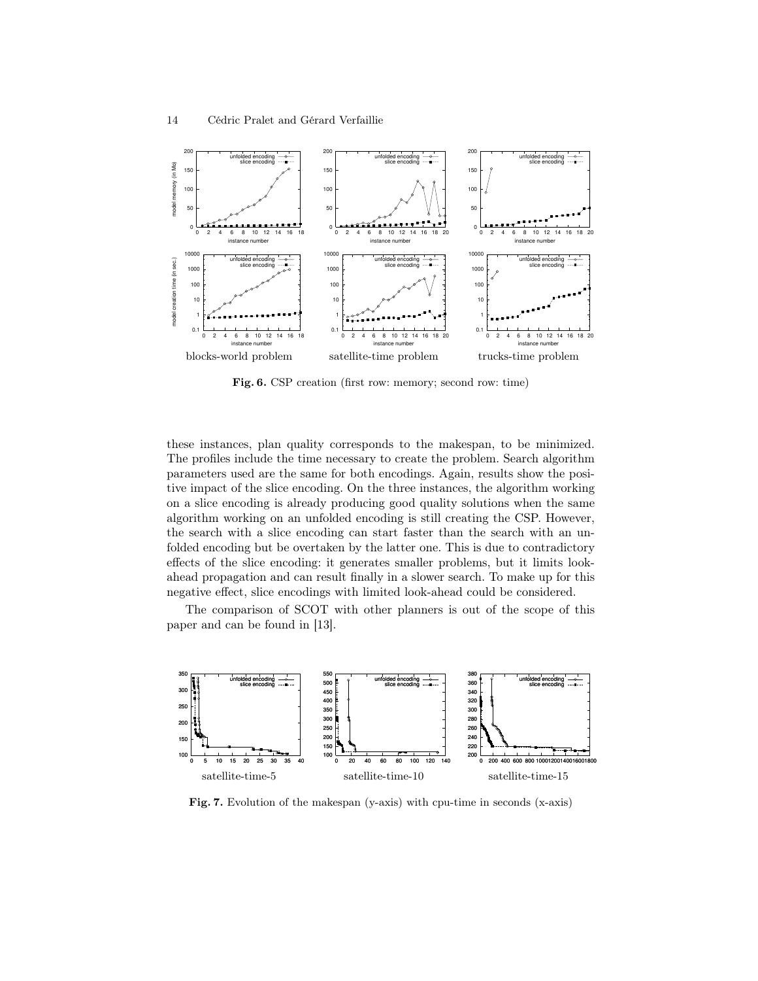

Fig. 6. CSP creation (first row: memory; second row: time)

these instances, plan quality corresponds to the makespan, to be minimized. The profiles include the time necessary to create the problem. Search algorithm parameters used are the same for both encodings. Again, results show the positive impact of the slice encoding. On the three instances, the algorithm working on a slice encoding is already producing good quality solutions when the same algorithm working on an unfolded encoding is still creating the CSP. However, the search with a slice encoding can start faster than the search with an unfolded encoding but be overtaken by the latter one. This is due to contradictory effects of the slice encoding: it generates smaller problems, but it limits lookahead propagation and can result finally in a slower search. To make up for this negative effect, slice encodings with limited look-ahead could be considered.

The comparison of SCOT with other planners is out of the scope of this paper and can be found in [13].



Fig. 7. Evolution of the makespan (y-axis) with cpu-time in seconds (x-axis)